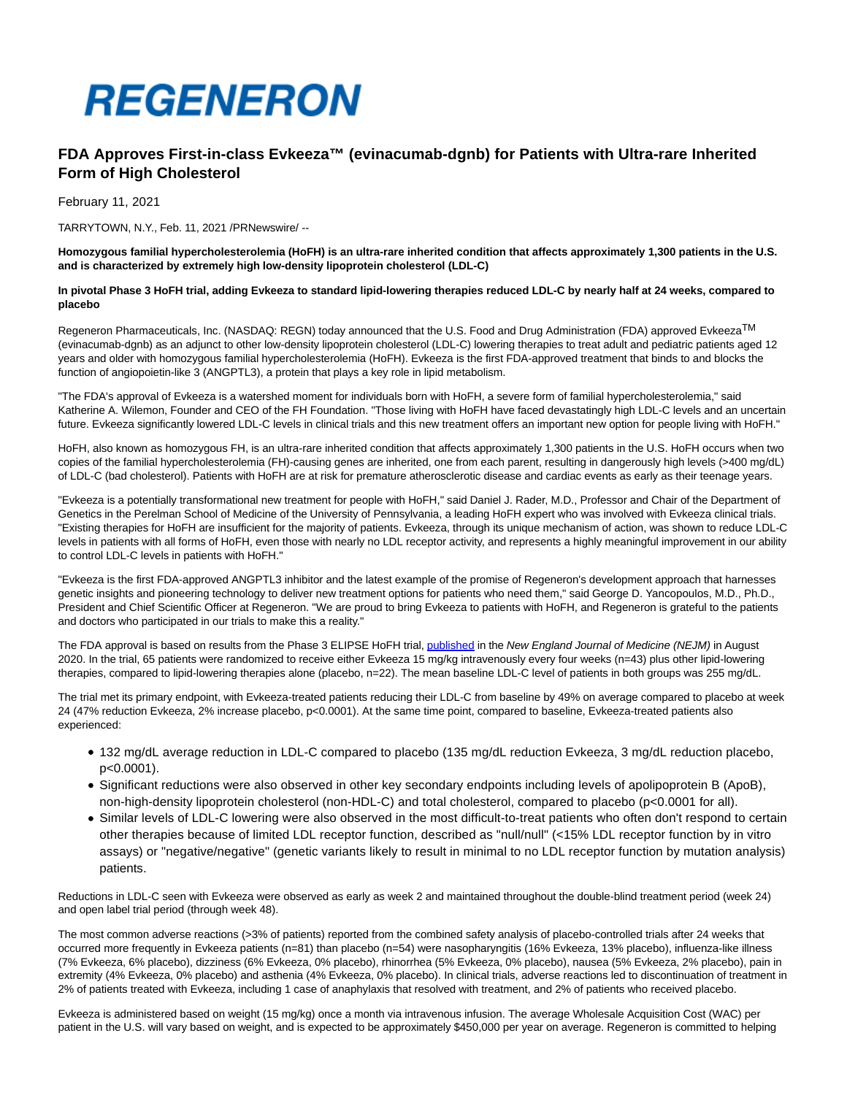

# **FDA Approves First-in-class Evkeeza™ (evinacumab-dgnb) for Patients with Ultra-rare Inherited Form of High Cholesterol**

February 11, 2021

TARRYTOWN, N.Y., Feb. 11, 2021 /PRNewswire/ --

**Homozygous familial hypercholesterolemia (HoFH) is an ultra-rare inherited condition that affects approximately 1,300 patients in the U.S. and is characterized by extremely high low-density lipoprotein cholesterol (LDL-C)**

#### **In pivotal Phase 3 HoFH trial, adding Evkeeza to standard lipid-lowering therapies reduced LDL-C by nearly half at 24 weeks, compared to placebo**

Regeneron Pharmaceuticals, Inc. (NASDAQ: REGN) today announced that the U.S. Food and Drug Administration (FDA) approved Evkeeza<sup>TM</sup> (evinacumab-dgnb) as an adjunct to other low-density lipoprotein cholesterol (LDL-C) lowering therapies to treat adult and pediatric patients aged 12 years and older with homozygous familial hypercholesterolemia (HoFH). Evkeeza is the first FDA-approved treatment that binds to and blocks the function of angiopoietin-like 3 (ANGPTL3), a protein that plays a key role in lipid metabolism.

"The FDA's approval of Evkeeza is a watershed moment for individuals born with HoFH, a severe form of familial hypercholesterolemia," said Katherine A. Wilemon, Founder and CEO of the FH Foundation. "Those living with HoFH have faced devastatingly high LDL-C levels and an uncertain future. Evkeeza significantly lowered LDL-C levels in clinical trials and this new treatment offers an important new option for people living with HoFH."

HoFH, also known as homozygous FH, is an ultra-rare inherited condition that affects approximately 1,300 patients in the U.S. HoFH occurs when two copies of the familial hypercholesterolemia (FH)-causing genes are inherited, one from each parent, resulting in dangerously high levels (>400 mg/dL) of LDL-C (bad cholesterol). Patients with HoFH are at risk for premature atherosclerotic disease and cardiac events as early as their teenage years.

"Evkeeza is a potentially transformational new treatment for people with HoFH," said Daniel J. Rader, M.D., Professor and Chair of the Department of Genetics in the Perelman School of Medicine of the University of Pennsylvania, a leading HoFH expert who was involved with Evkeeza clinical trials. "Existing therapies for HoFH are insufficient for the majority of patients. Evkeeza, through its unique mechanism of action, was shown to reduce LDL-C levels in patients with all forms of HoFH, even those with nearly no LDL receptor activity, and represents a highly meaningful improvement in our ability to control LDL-C levels in patients with HoFH."

"Evkeeza is the first FDA-approved ANGPTL3 inhibitor and the latest example of the promise of Regeneron's development approach that harnesses genetic insights and pioneering technology to deliver new treatment options for patients who need them," said George D. Yancopoulos, M.D., Ph.D., President and Chief Scientific Officer at Regeneron. "We are proud to bring Evkeeza to patients with HoFH, and Regeneron is grateful to the patients and doctors who participated in our trials to make this a reality."

The FDA approval is based on results from the Phase 3 ELIPSE HoFH trial, [published i](https://c212.net/c/link/?t=0&l=en&o=3066029-1&h=9852725&u=https%3A%2F%2Finvestor.regeneron.com%2Fnews-releases%2Fnews-release-details%2Fnew-england-journal-medicine-publishes-positive-phase-3&a=published)n the New England Journal of Medicine (NEJM) in August 2020. In the trial, 65 patients were randomized to receive either Evkeeza 15 mg/kg intravenously every four weeks (n=43) plus other lipid-lowering therapies, compared to lipid-lowering therapies alone (placebo, n=22). The mean baseline LDL-C level of patients in both groups was 255 mg/dL.

The trial met its primary endpoint, with Evkeeza-treated patients reducing their LDL-C from baseline by 49% on average compared to placebo at week 24 (47% reduction Evkeeza, 2% increase placebo, p<0.0001). At the same time point, compared to baseline, Evkeeza-treated patients also experienced:

- 132 mg/dL average reduction in LDL-C compared to placebo (135 mg/dL reduction Evkeeza, 3 mg/dL reduction placebo, p<0.0001).
- Significant reductions were also observed in other key secondary endpoints including levels of apolipoprotein B (ApoB), non-high-density lipoprotein cholesterol (non-HDL-C) and total cholesterol, compared to placebo (p<0.0001 for all).
- Similar levels of LDL-C lowering were also observed in the most difficult-to-treat patients who often don't respond to certain other therapies because of limited LDL receptor function, described as "null/null" (<15% LDL receptor function by in vitro assays) or "negative/negative" (genetic variants likely to result in minimal to no LDL receptor function by mutation analysis) patients.

Reductions in LDL-C seen with Evkeeza were observed as early as week 2 and maintained throughout the double-blind treatment period (week 24) and open label trial period (through week 48).

The most common adverse reactions (>3% of patients) reported from the combined safety analysis of placebo-controlled trials after 24 weeks that occurred more frequently in Evkeeza patients (n=81) than placebo (n=54) were nasopharyngitis (16% Evkeeza, 13% placebo), influenza-like illness (7% Evkeeza, 6% placebo), dizziness (6% Evkeeza, 0% placebo), rhinorrhea (5% Evkeeza, 0% placebo), nausea (5% Evkeeza, 2% placebo), pain in extremity (4% Evkeeza, 0% placebo) and asthenia (4% Evkeeza, 0% placebo). In clinical trials, adverse reactions led to discontinuation of treatment in 2% of patients treated with Evkeeza, including 1 case of anaphylaxis that resolved with treatment, and 2% of patients who received placebo.

Evkeeza is administered based on weight (15 mg/kg) once a month via intravenous infusion. The average Wholesale Acquisition Cost (WAC) per patient in the U.S. will vary based on weight, and is expected to be approximately \$450,000 per year on average. Regeneron is committed to helping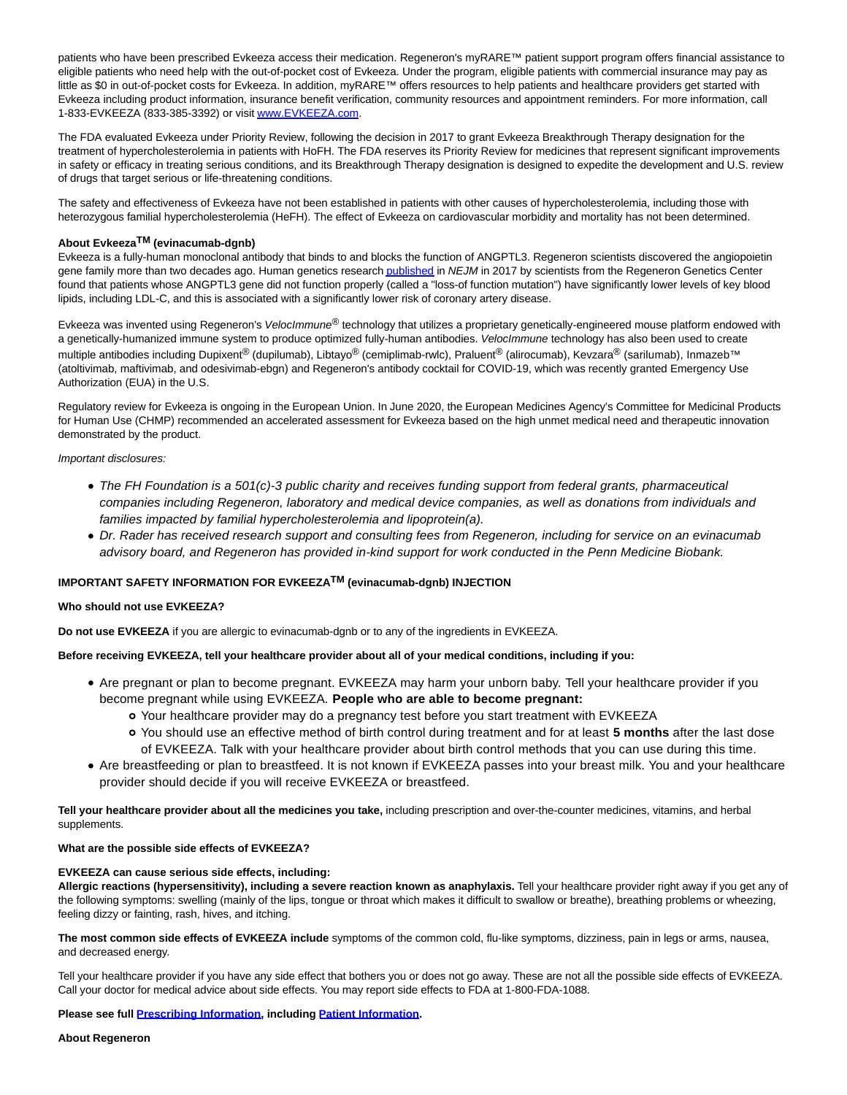patients who have been prescribed Evkeeza access their medication. Regeneron's myRARE™ patient support program offers financial assistance to eligible patients who need help with the out-of-pocket cost of Evkeeza. Under the program, eligible patients with commercial insurance may pay as little as \$0 in out-of-pocket costs for Evkeeza. In addition, myRARE™ offers resources to help patients and healthcare providers get started with Evkeeza including product information, insurance benefit verification, community resources and appointment reminders. For more information, call 1-833-EVKEEZA (833-385-3392) or visi[t www.EVKEEZA.com.](http://www.evkeeza.com/)

The FDA evaluated Evkeeza under Priority Review, following the decision in 2017 to grant Evkeeza Breakthrough Therapy designation for the treatment of hypercholesterolemia in patients with HoFH. The FDA reserves its Priority Review for medicines that represent significant improvements in safety or efficacy in treating serious conditions, and its Breakthrough Therapy designation is designed to expedite the development and U.S. review of drugs that target serious or life-threatening conditions.

The safety and effectiveness of Evkeeza have not been established in patients with other causes of hypercholesterolemia, including those with heterozygous familial hypercholesterolemia (HeFH). The effect of Evkeeza on cardiovascular morbidity and mortality has not been determined.

### **About EvkeezaTM (evinacumab-dgnb)**

Evkeeza is a fully-human monoclonal antibody that binds to and blocks the function of ANGPTL3. Regeneron scientists discovered the angiopoietin gene family more than two decades ago. Human genetics researc[h published i](https://c212.net/c/link/?t=0&l=en&o=3066029-1&h=3947064451&u=https%3A%2F%2Fc212.net%2Fc%2Flink%2F%3Ft%3D0%26l%3Den%26o%3D2764115-1%26h%3D4139125594%26u%3Dhttps%253A%252F%252Fc212.net%252Fc%252Flink%252F%253Ft%253D0%2526l%253Den%2526o%253D2550992-1%2526h%253D2065772958%2526u%253Dhttps%25253A%25252F%25252Fwww.nejm.org%25252Fdoi%25252Ffull%25252F10.1056%25252FNEJMoa1612790%2526a%253Dpublished%26a%3Dpublished&a=published)n NEJM in 2017 by scientists from the Regeneron Genetics Center found that patients whose ANGPTL3 gene did not function properly (called a "loss-of function mutation") have significantly lower levels of key blood lipids, including LDL-C, and this is associated with a significantly lower risk of coronary artery disease.

Evkeeza was invented using Regeneron's Veloclmmune® technology that utilizes a proprietary genetically-engineered mouse platform endowed with a genetically-humanized immune system to produce optimized fully-human antibodies. Veloclmmune technology has also been used to create multiple antibodies including Dupixent<sup>®</sup> (dupilumab), Libtayo<sup>®</sup> (cemiplimab-rwlc), Praluent<sup>®</sup> (alirocumab), Kevzara<sup>®</sup> (sarilumab), Inmazeb™ (atoltivimab, maftivimab, and odesivimab-ebgn) and Regeneron's antibody cocktail for COVID-19, which was recently granted Emergency Use Authorization (EUA) in the U.S.

Regulatory review for Evkeeza is ongoing in the European Union. In June 2020, the European Medicines Agency's Committee for Medicinal Products for Human Use (CHMP) recommended an accelerated assessment for Evkeeza based on the high unmet medical need and therapeutic innovation demonstrated by the product.

#### Important disclosures:

- The FH Foundation is a 501(c)-3 public charity and receives funding support from federal grants, pharmaceutical companies including Regeneron, laboratory and medical device companies, as well as donations from individuals and families impacted by familial hypercholesterolemia and lipoprotein(a).
- Dr. Rader has received research support and consulting fees from Regeneron, including for service on an evinacumab advisory board, and Regeneron has provided in-kind support for work conducted in the Penn Medicine Biobank.

## **IMPORTANT SAFETY INFORMATION FOR EVKEEZATM (evinacumab-dgnb) INJECTION**

#### **Who should not use EVKEEZA?**

**Do not use EVKEEZA** if you are allergic to evinacumab-dgnb or to any of the ingredients in EVKEEZA.

#### **Before receiving EVKEEZA, tell your healthcare provider about all of your medical conditions, including if you:**

- Are pregnant or plan to become pregnant. EVKEEZA may harm your unborn baby. Tell your healthcare provider if you become pregnant while using EVKEEZA. **People who are able to become pregnant:**
	- Your healthcare provider may do a pregnancy test before you start treatment with EVKEEZA
	- You should use an effective method of birth control during treatment and for at least **5 months** after the last dose of EVKEEZA. Talk with your healthcare provider about birth control methods that you can use during this time.
- Are breastfeeding or plan to breastfeed. It is not known if EVKEEZA passes into your breast milk. You and your healthcare provider should decide if you will receive EVKEEZA or breastfeed.

**Tell your healthcare provider about all the medicines you take,** including prescription and over-the-counter medicines, vitamins, and herbal supplements.

#### **What are the possible side effects of EVKEEZA?**

#### **EVKEEZA can cause serious side effects, including:**

**Allergic reactions (hypersensitivity), including a severe reaction known as anaphylaxis.** Tell your healthcare provider right away if you get any of the following symptoms: swelling (mainly of the lips, tongue or throat which makes it difficult to swallow or breathe), breathing problems or wheezing, feeling dizzy or fainting, rash, hives, and itching.

**The most common side effects of EVKEEZA include** symptoms of the common cold, flu-like symptoms, dizziness, pain in legs or arms, nausea, and decreased energy.

Tell your healthcare provider if you have any side effect that bothers you or does not go away. These are not all the possible side effects of EVKEEZA. Call your doctor for medical advice about side effects. You may report side effects to FDA at 1-800-FDA-1088.

**Please see full [Prescribing Information,](https://c212.net/c/link/?t=0&l=en&o=3066029-1&h=800413453&u=https%3A%2F%2Furldefense.proofpoint.com%2Fv2%2Furl%3Fu%3Dhttps-3A__www.regeneron.com_sites_default_files_Evkeeza-5FPI.pdf%26d%3DDwMGaQ%26c%3DOxmPmEcXpM2_mZU2YLv2srzCxuSHLcOxzx93sLQ5Tnc%26r%3DD7KIrpnvSFRNH5-i4JWoOjQpT_ayX-P36LkmSdCCtfc%26m%3Dbw6nf1naZZOMfqWmBza_RoptY6Tu4o1Yc-TskqbQUK4%26s%3DUCTR-nfKSENHOPqcRHfG2mpCb2dWW72kOq9piI2NuIs%26e%3D%3E&a=Prescribing+Information) including [Patient Information.](https://c212.net/c/link/?t=0&l=en&o=3066029-1&h=788896542&u=https%3A%2F%2Fwww.regeneron.com%2Fsites%2Fdefault%2Ffiles%2FEvkeeza_PPI.pdf&a=Patient+Information)**

**About Regeneron**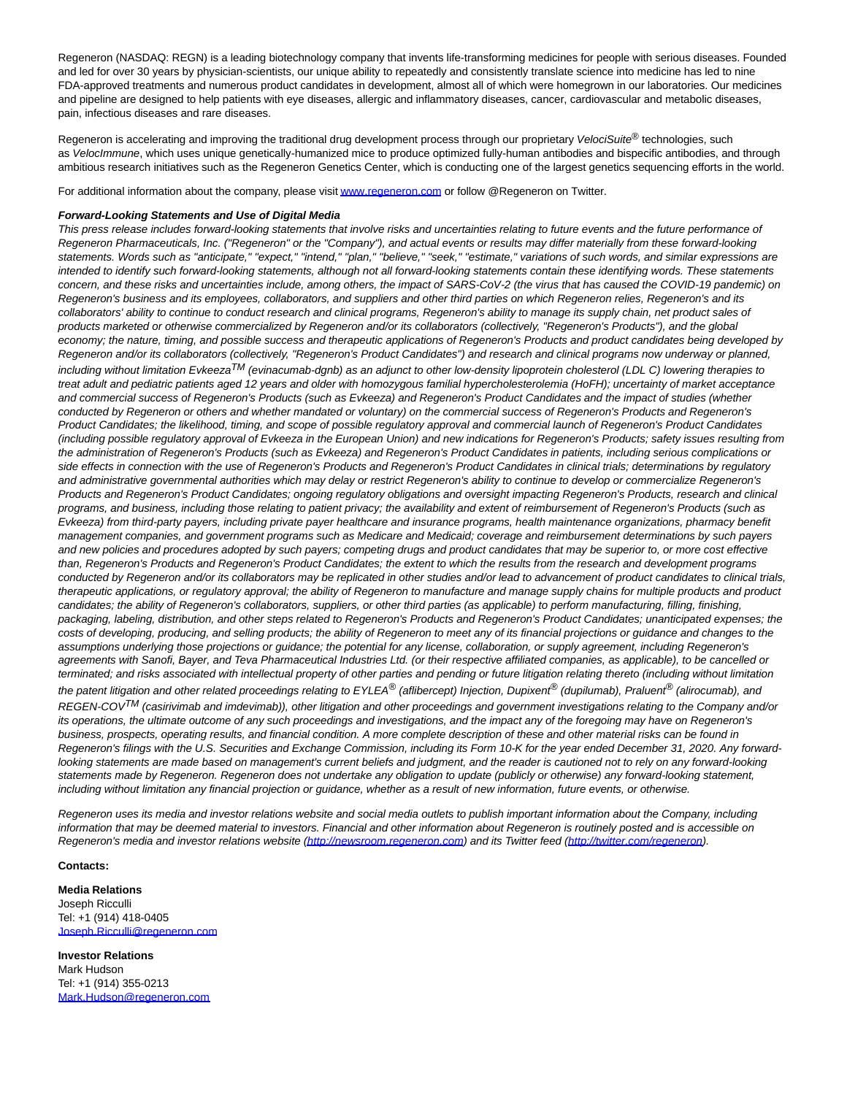Regeneron (NASDAQ: REGN) is a leading biotechnology company that invents life-transforming medicines for people with serious diseases. Founded and led for over 30 years by physician-scientists, our unique ability to repeatedly and consistently translate science into medicine has led to nine FDA-approved treatments and numerous product candidates in development, almost all of which were homegrown in our laboratories. Our medicines and pipeline are designed to help patients with eye diseases, allergic and inflammatory diseases, cancer, cardiovascular and metabolic diseases, pain, infectious diseases and rare diseases.

Regeneron is accelerating and improving the traditional drug development process through our proprietary VelociSuite® technologies, such as VelocImmune, which uses unique genetically-humanized mice to produce optimized fully-human antibodies and bispecific antibodies, and through ambitious research initiatives such as the Regeneron Genetics Center, which is conducting one of the largest genetics sequencing efforts in the world.

For additional information about the company, please visi[t www.regeneron.com o](https://c212.net/c/link/?t=0&l=en&o=3066029-1&h=661661182&u=http%3A%2F%2Fwww.regeneron.com%2F&a=www.regeneron.com)r follow @Regeneron on Twitter.

#### **Forward-Looking Statements and Use of Digital Media**

This press release includes forward-looking statements that involve risks and uncertainties relating to future events and the future performance of Regeneron Pharmaceuticals, Inc. ("Regeneron" or the "Company"), and actual events or results may differ materially from these forward-looking statements. Words such as "anticipate," "expect," "intend," "plan," "believe," "seek," "estimate," variations of such words, and similar expressions are intended to identify such forward-looking statements, although not all forward-looking statements contain these identifying words. These statements concern, and these risks and uncertainties include, among others, the impact of SARS-CoV-2 (the virus that has caused the COVID-19 pandemic) on Regeneron's business and its employees, collaborators, and suppliers and other third parties on which Regeneron relies, Regeneron's and its collaborators' ability to continue to conduct research and clinical programs, Regeneron's ability to manage its supply chain, net product sales of products marketed or otherwise commercialized by Regeneron and/or its collaborators (collectively, "Regeneron's Products"), and the global economy; the nature, timing, and possible success and therapeutic applications of Regeneron's Products and product candidates being developed by Regeneron and/or its collaborators (collectively, "Regeneron's Product Candidates") and research and clinical programs now underway or planned, including without limitation Evkeeza<sup>TM</sup> (evinacumab-dgnb) as an adjunct to other low-density lipoprotein cholesterol (LDL C) lowering therapies to treat adult and pediatric patients aged 12 years and older with homozygous familial hypercholesterolemia (HoFH); uncertainty of market acceptance and commercial success of Regeneron's Products (such as Evkeeza) and Regeneron's Product Candidates and the impact of studies (whether conducted by Regeneron or others and whether mandated or voluntary) on the commercial success of Regeneron's Products and Regeneron's Product Candidates; the likelihood, timing, and scope of possible regulatory approval and commercial launch of Regeneron's Product Candidates (including possible regulatory approval of Evkeeza in the European Union) and new indications for Regeneron's Products; safety issues resulting from the administration of Regeneron's Products (such as Evkeeza) and Regeneron's Product Candidates in patients, including serious complications or side effects in connection with the use of Regeneron's Products and Regeneron's Product Candidates in clinical trials; determinations by regulatory and administrative governmental authorities which may delay or restrict Regeneron's ability to continue to develop or commercialize Regeneron's Products and Regeneron's Product Candidates; ongoing regulatory obligations and oversight impacting Regeneron's Products, research and clinical programs, and business, including those relating to patient privacy; the availability and extent of reimbursement of Regeneron's Products (such as Evkeeza) from third-party payers, including private payer healthcare and insurance programs, health maintenance organizations, pharmacy benefit management companies, and government programs such as Medicare and Medicaid; coverage and reimbursement determinations by such payers and new policies and procedures adopted by such payers; competing drugs and product candidates that may be superior to, or more cost effective than, Regeneron's Products and Regeneron's Product Candidates; the extent to which the results from the research and development programs conducted by Regeneron and/or its collaborators may be replicated in other studies and/or lead to advancement of product candidates to clinical trials, therapeutic applications, or regulatory approval; the ability of Regeneron to manufacture and manage supply chains for multiple products and product candidates; the ability of Regeneron's collaborators, suppliers, or other third parties (as applicable) to perform manufacturing, filling, finishing, packaging, labeling, distribution, and other steps related to Regeneron's Products and Regeneron's Product Candidates; unanticipated expenses; the costs of developing, producing, and selling products; the ability of Regeneron to meet any of its financial projections or guidance and changes to the assumptions underlying those projections or guidance; the potential for any license, collaboration, or supply agreement, including Regeneron's agreements with Sanofi, Bayer, and Teva Pharmaceutical Industries Ltd. (or their respective affiliated companies, as applicable), to be cancelled or terminated; and risks associated with intellectual property of other parties and pending or future litigation relating thereto (including without limitation the patent litigation and other related proceedings relating to EYLEA<sup>®</sup> (aflibercept) Injection, Dupixent<sup>®</sup> (dupilumab), Praluent<sup>®</sup> (alirocumab), and REGEN-COV<sup>TM</sup> (casirivimab and imdevimab)), other litigation and other proceedings and government investigations relating to the Company and/or its operations, the ultimate outcome of any such proceedings and investigations, and the impact any of the foregoing may have on Regeneron's business, prospects, operating results, and financial condition. A more complete description of these and other material risks can be found in Regeneron's filings with the U.S. Securities and Exchange Commission, including its Form 10-K for the year ended December 31, 2020. Any forwardlooking statements are made based on management's current beliefs and judgment, and the reader is cautioned not to rely on any forward-looking statements made by Regeneron. Regeneron does not undertake any obligation to update (publicly or otherwise) any forward-looking statement, including without limitation any financial projection or guidance, whether as a result of new information, future events, or otherwise.

Regeneron uses its media and investor relations website and social media outlets to publish important information about the Company, including information that may be deemed material to investors. Financial and other information about Regeneron is routinely posted and is accessible on Regeneron's media and investor relations website [\(http://newsroom.regeneron.com\)](http://newsroom.regeneron.com/) and its Twitter feed [\(http://twitter.com/regeneron\).](http://twitter.com/regeneron)

#### **Contacts:**

**Media Relations** Joseph Ricculli Tel: +1 (914) 418-0405 [Joseph.Ricculli@regeneron.com](mailto:Joseph.Ricculli@regeneron.com)

**Investor Relations** Mark Hudson Tel: +1 (914) 355-0213 [Mark.Hudson@regeneron.com](mailto:Mark.Hudson@regeneron.com)